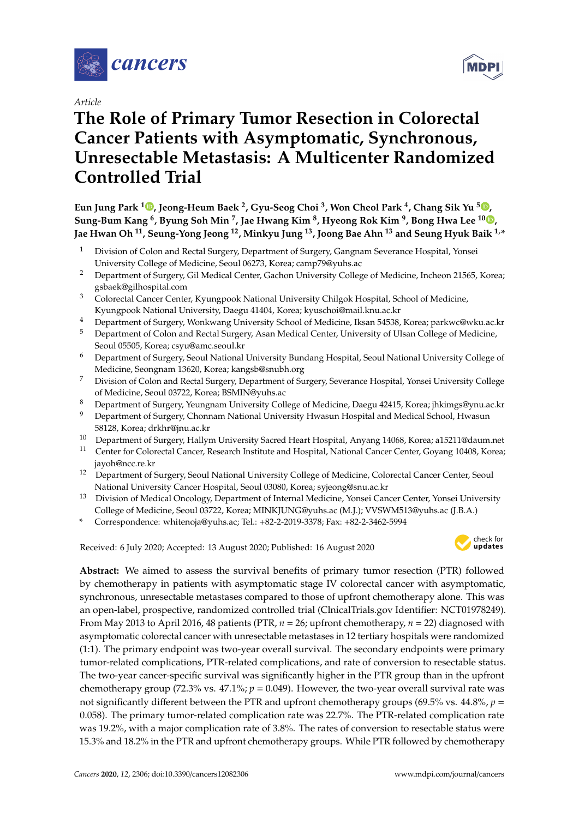

*Article*

# **The Role of Primary Tumor Resection in Colorectal Cancer Patients with Asymptomatic, Synchronous, Unresectable Metastasis: A Multicenter Randomized Controlled Trial**

**Eun Jung Park <sup>1</sup> [,](https://orcid.org/0000-0002-4559-2690) Jeong-Heum Baek <sup>2</sup> , Gyu-Seog Choi <sup>3</sup> , Won Cheol Park <sup>4</sup> , Chang Sik Yu [5](https://orcid.org/0000-0001-9401-9981) , Sung-Bum Kang <sup>6</sup> , Byung Soh Min <sup>7</sup> , Jae Hwang Kim <sup>8</sup> , Hyeong Rok Kim <sup>9</sup> , Bong Hwa Lee <sup>10</sup> [,](https://orcid.org/0000-0001-6994-2934) Jae Hwan Oh <sup>11</sup>, Seung-Yong Jeong <sup>12</sup>, Minkyu Jung <sup>13</sup>, Joong Bae Ahn <sup>13</sup> and Seung Hyuk Baik 1,\***

- <sup>1</sup> Division of Colon and Rectal Surgery, Department of Surgery, Gangnam Severance Hospital, Yonsei University College of Medicine, Seoul 06273, Korea; camp79@yuhs.ac
- <sup>2</sup> Department of Surgery, Gil Medical Center, Gachon University College of Medicine, Incheon 21565, Korea; gsbaek@gilhospital.com
- <sup>3</sup> Colorectal Cancer Center, Kyungpook National University Chilgok Hospital, School of Medicine, Kyungpook National University, Daegu 41404, Korea; kyuschoi@mail.knu.ac.kr
- <sup>4</sup> Department of Surgery, Wonkwang University School of Medicine, Iksan 54538, Korea; parkwc@wku.ac.kr
- <sup>5</sup> Department of Colon and Rectal Surgery, Asan Medical Center, University of Ulsan College of Medicine, Seoul 05505, Korea; csyu@amc.seoul.kr
- <sup>6</sup> Department of Surgery, Seoul National University Bundang Hospital, Seoul National University College of Medicine, Seongnam 13620, Korea; kangsb@snubh.org
- <sup>7</sup> Division of Colon and Rectal Surgery, Department of Surgery, Severance Hospital, Yonsei University College of Medicine, Seoul 03722, Korea; BSMIN@yuhs.ac
- <sup>8</sup> Department of Surgery, Yeungnam University College of Medicine, Daegu 42415, Korea; jhkimgs@ynu.ac.kr
- <sup>9</sup> Department of Surgery, Chonnam National University Hwasun Hospital and Medical School, Hwasun 58128, Korea; drkhr@jnu.ac.kr
- <sup>10</sup> Department of Surgery, Hallym University Sacred Heart Hospital, Anyang 14068, Korea; a15211@daum.net
- <sup>11</sup> Center for Colorectal Cancer, Research Institute and Hospital, National Cancer Center, Goyang 10408, Korea; jayoh@ncc.re.kr
- <sup>12</sup> Department of Surgery, Seoul National University College of Medicine, Colorectal Cancer Center, Seoul National University Cancer Hospital, Seoul 03080, Korea; syjeong@snu.ac.kr
- <sup>13</sup> Division of Medical Oncology, Department of Internal Medicine, Yonsei Cancer Center, Yonsei University College of Medicine, Seoul 03722, Korea; MINKJUNG@yuhs.ac (M.J.); VVSWM513@yuhs.ac (J.B.A.)
- **\*** Correspondence: whitenoja@yuhs.ac; Tel.: +82-2-2019-3378; Fax: +82-2-3462-5994

Received: 6 July 2020; Accepted: 13 August 2020; Published: 16 August 2020



**Abstract:** We aimed to assess the survival benefits of primary tumor resection (PTR) followed by chemotherapy in patients with asymptomatic stage IV colorectal cancer with asymptomatic, synchronous, unresectable metastases compared to those of upfront chemotherapy alone. This was an open-label, prospective, randomized controlled trial (ClnicalTrials.gov Identifier: NCT01978249). From May 2013 to April 2016, 48 patients (PTR, *n* = 26; upfront chemotherapy, *n* = 22) diagnosed with asymptomatic colorectal cancer with unresectable metastases in 12 tertiary hospitals were randomized (1:1). The primary endpoint was two-year overall survival. The secondary endpoints were primary tumor-related complications, PTR-related complications, and rate of conversion to resectable status. The two-year cancer-specific survival was significantly higher in the PTR group than in the upfront chemotherapy group (72.3% vs.  $47.1\%$ ;  $p = 0.049$ ). However, the two-year overall survival rate was not significantly different between the PTR and upfront chemotherapy groups (69.5% vs. 44.8%, *p* = 0.058). The primary tumor-related complication rate was 22.7%. The PTR-related complication rate was 19.2%, with a major complication rate of 3.8%. The rates of conversion to resectable status were 15.3% and 18.2% in the PTR and upfront chemotherapy groups. While PTR followed by chemotherapy

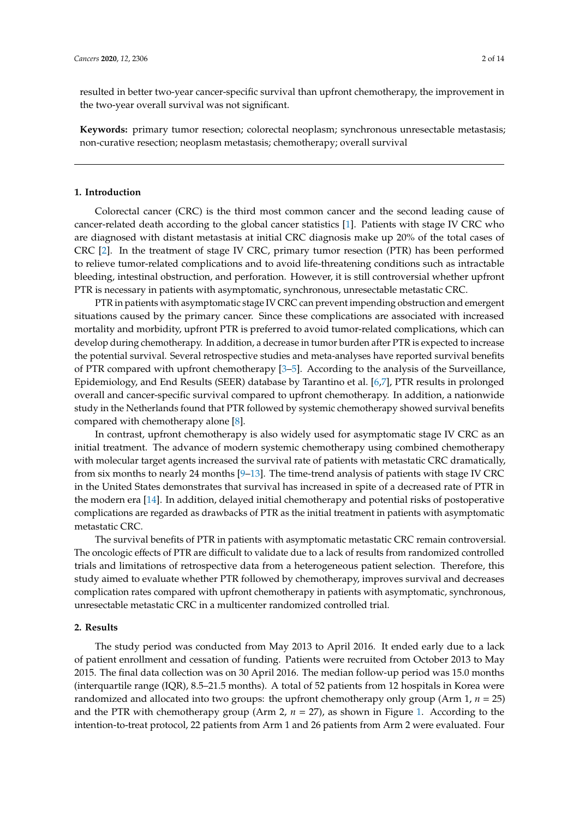resulted in better two-year cancer-specific survival than upfront chemotherapy, the improvement in the two-year overall survival was not significant.

**Keywords:** primary tumor resection; colorectal neoplasm; synchronous unresectable metastasis; non-curative resection; neoplasm metastasis; chemotherapy; overall survival

### **1. Introduction**

Colorectal cancer (CRC) is the third most common cancer and the second leading cause of cancer-related death according to the global cancer statistics [\[1\]](#page-11-0). Patients with stage IV CRC who are diagnosed with distant metastasis at initial CRC diagnosis make up 20% of the total cases of CRC [\[2\]](#page-11-1). In the treatment of stage IV CRC, primary tumor resection (PTR) has been performed to relieve tumor-related complications and to avoid life-threatening conditions such as intractable bleeding, intestinal obstruction, and perforation. However, it is still controversial whether upfront PTR is necessary in patients with asymptomatic, synchronous, unresectable metastatic CRC.

PTR in patients with asymptomatic stage IV CRC can prevent impending obstruction and emergent situations caused by the primary cancer. Since these complications are associated with increased mortality and morbidity, upfront PTR is preferred to avoid tumor-related complications, which can develop during chemotherapy. In addition, a decrease in tumor burden after PTR is expected to increase the potential survival. Several retrospective studies and meta-analyses have reported survival benefits of PTR compared with upfront chemotherapy [\[3](#page-11-2)[–5\]](#page-11-3). According to the analysis of the Surveillance, Epidemiology, and End Results (SEER) database by Tarantino et al. [\[6](#page-11-4)[,7\]](#page-11-5), PTR results in prolonged overall and cancer-specific survival compared to upfront chemotherapy. In addition, a nationwide study in the Netherlands found that PTR followed by systemic chemotherapy showed survival benefits compared with chemotherapy alone [\[8\]](#page-11-6).

In contrast, upfront chemotherapy is also widely used for asymptomatic stage IV CRC as an initial treatment. The advance of modern systemic chemotherapy using combined chemotherapy with molecular target agents increased the survival rate of patients with metastatic CRC dramatically, from six months to nearly 24 months [\[9](#page-11-7)[–13\]](#page-11-8). The time-trend analysis of patients with stage IV CRC in the United States demonstrates that survival has increased in spite of a decreased rate of PTR in the modern era [\[14\]](#page-11-9). In addition, delayed initial chemotherapy and potential risks of postoperative complications are regarded as drawbacks of PTR as the initial treatment in patients with asymptomatic metastatic CRC.

The survival benefits of PTR in patients with asymptomatic metastatic CRC remain controversial. The oncologic effects of PTR are difficult to validate due to a lack of results from randomized controlled trials and limitations of retrospective data from a heterogeneous patient selection. Therefore, this study aimed to evaluate whether PTR followed by chemotherapy, improves survival and decreases complication rates compared with upfront chemotherapy in patients with asymptomatic, synchronous, unresectable metastatic CRC in a multicenter randomized controlled trial.

## **2. Results**

The study period was conducted from May 2013 to April 2016. It ended early due to a lack of patient enrollment and cessation of funding. Patients were recruited from October 2013 to May 2015. The final data collection was on 30 April 2016. The median follow-up period was 15.0 months (interquartile range (IQR), 8.5–21.5 months). A total of 52 patients from 12 hospitals in Korea were randomized and allocated into two groups: the upfront chemotherapy only group (Arm 1, *n* = 25) and the PTR with chemotherapy group (Arm 2,  $n = 27$ ), as shown in Figure [1.](#page-2-0) According to the intention-to-treat protocol, 22 patients from Arm 1 and 26 patients from Arm 2 were evaluated. Four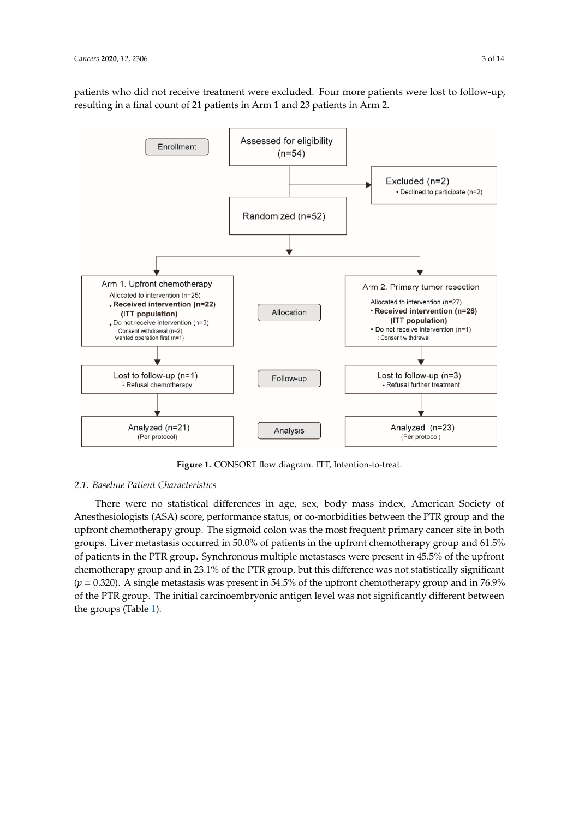patients who did not receive treatment were excluded. Four more patients were lost to follow-up, resulting in a final count of 21 patients in Arm 1 and 23 patients in Arm 2. resulting in a final count of 21 patients in Arm 1 and 23 patients in Arm 2. patients who did not receive treatment were excluded. Four more patients were lost to follow-up,

<span id="page-2-0"></span>

**Figure 1.** CONSORT flow diagram. ITT, Intention-to-treat. **Figure 1.** CONSORT flow diagram. ITT, Intention-to-treat.

# *2.1. Baseline Patient Characteristics 2.1. Baseline Patient Characteristics*

There were no statistical differences in age, sex, body mass index, American Society of There were no statistical differences in age, sex, body mass index, American Society of Anesthesiologists (ASA) score, performance status, or co-morbidities between the PTR group and the Anesthesiologists (ASA) score, performance status, or co-morbidities between the PTR group and the upfront chemotherapy group. The sigmoid colon was the most frequent primary cancer site in both upfront chemotherapy group. The sigmoid colon was the most frequent primary cancer site in both groups. Liver metastasis occurred in 50.0% of patients in the upfront chemotherapy group and 61.5% groups. Liver metastasis occurred in 50.0% of patients in the upfront chemotherapy group and 61.5% of patients in the PTR group. Synchronous multiple metastases were present in 45.5% of the upfront of patients in the PTR group. Synchronous multiple metastases were present in 45.5% of the upfront chemotherapy group and in 23.1% of the PTR group, but this difference was not statistically chemotherapy group and in 23.1% of the PTR group, but this difference was not statistically significant  $(p = 0.320)$ . A single metastasis was present in 54.5% of the upfront chemotherapy group and in 76.9% and in 76.9% of the PTR group. The initial carcinoembryonic antigen level was not significantly of the PTR group. The initial carcinoembryonic antigen level was not significantly different between the groups (Table [1\)](#page-3-0).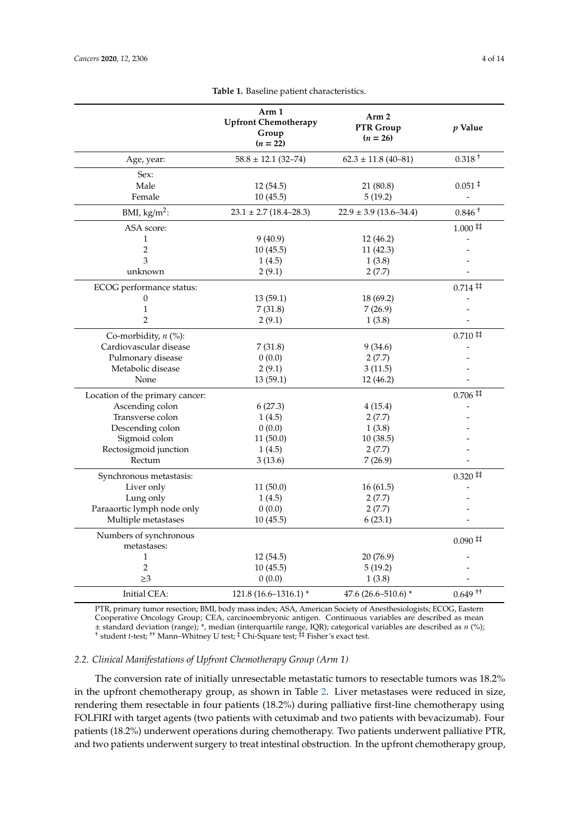<span id="page-3-0"></span>

|                                 | Arm 1<br><b>Upfront Chemotherapy</b><br>Group<br>$(n = 22)$ | Arm <sub>2</sub><br>PTR Group<br>$(n = 26)$ | <i>p</i> Value           |
|---------------------------------|-------------------------------------------------------------|---------------------------------------------|--------------------------|
| Age, year:                      | $58.8 \pm 12.1$ (32-74)                                     | $62.3 \pm 11.8$ (40-81)                     | $0.318 +$                |
| Sex:                            |                                                             |                                             |                          |
| Male                            | 12(54.5)                                                    | 21 (80.8)                                   | $0.051 \;$ <sup>‡</sup>  |
| Female                          | 10(45.5)                                                    | 5(19.2)                                     | $\overline{\phantom{a}}$ |
| BMI, $\text{kg/m}^2$ :          | $23.1 \pm 2.7$ (18.4-28.3)                                  | $22.9 \pm 3.9$ (13.6–34.4)                  | $0.846 +$                |
| ASA score:                      |                                                             |                                             | $1.000 \ddagger$         |
| $\mathbf{1}$                    | 9(40.9)                                                     | 12 (46.2)                                   |                          |
| $\overline{2}$                  | 10(45.5)                                                    | 11(42.3)                                    |                          |
| 3                               | 1(4.5)                                                      | 1(3.8)                                      |                          |
| unknown                         | 2(9.1)                                                      | 2(7.7)                                      |                          |
| ECOG performance status:        |                                                             |                                             | $0.714 \ddagger$         |
| $\theta$                        | 13(59.1)                                                    | 18 (69.2)                                   |                          |
| $\mathbf{1}$                    | 7(31.8)                                                     | 7(26.9)                                     |                          |
| $\overline{2}$                  | 2(9.1)                                                      | 1(3.8)                                      |                          |
| Co-morbidity, $n$ (%):          |                                                             |                                             | $0.710 \ddagger$         |
| Cardiovascular disease          | 7(31.8)                                                     | 9(34.6)                                     |                          |
| Pulmonary disease               | 0(0.0)                                                      | 2(7.7)                                      |                          |
| Metabolic disease               | 2(9.1)                                                      | 3(11.5)                                     |                          |
| None                            | 13(59.1)                                                    | 12(46.2)                                    |                          |
| Location of the primary cancer: |                                                             |                                             | $0.706 \ddagger$         |
| Ascending colon                 | 6(27.3)                                                     | 4(15.4)                                     |                          |
| Transverse colon                | 1(4.5)                                                      | 2(7.7)                                      |                          |
| Descending colon                | 0(0.0)                                                      | 1(3.8)                                      |                          |
| Sigmoid colon                   | 11(50.0)                                                    | 10(38.5)                                    |                          |
| Rectosigmoid junction           | 1(4.5)                                                      | 2(7.7)                                      |                          |
| Rectum                          | 3(13.6)                                                     | 7(26.9)                                     |                          |
| Synchronous metastasis:         |                                                             |                                             | $0.320 \ddagger$         |
| Liver only                      | 11(50.0)                                                    | 16(61.5)                                    |                          |
| Lung only                       | 1(4.5)                                                      | 2(7.7)                                      |                          |
| Paraaortic lymph node only      | 0(0.0)                                                      | 2(7.7)                                      |                          |
| Multiple metastases             | 10(45.5)                                                    | 6(23.1)                                     |                          |
| Numbers of synchronous          |                                                             |                                             | $0.090 \ddagger$         |
| metastases:                     |                                                             |                                             |                          |
| $\mathbf{1}$<br>$\overline{2}$  | 12(54.5)                                                    | 20(76.9)                                    |                          |
| $\geq$ 3                        | 10(45.5)                                                    | 5(19.2)<br>1(3.8)                           |                          |
|                                 | 0(0.0)                                                      |                                             |                          |
| Initial CEA:                    | 121.8 (16.6-1316.1) *                                       | 47.6 (26.6-510.6) *                         | $0.649$ <sup>++</sup>    |

**Table 1.** Baseline patient characteristics.

PTR, primary tumor resection; BMI, body mass index; ASA, American Society of Anesthesiologists; ECOG, Eastern Cooperative Oncology Group; CEA, carcinoembryonic antigen. Continuous variables are described as mean ± standard deviation (range); \*, median (interquartile range, IQR); categorical variables are described as *n* (%); † student *t*-test; †† Mann–Whitney U test; ‡ Chi-Square test; ‡‡ Fisher's exact test.

## *2.2. Clinical Manifestations of Upfront Chemotherapy Group (Arm 1)*

The conversion rate of initially unresectable metastatic tumors to resectable tumors was 18.2% in the upfront chemotherapy group, as shown in Table [2.](#page-4-0) Liver metastases were reduced in size, rendering them resectable in four patients (18.2%) during palliative first-line chemotherapy using FOLFIRI with target agents (two patients with cetuximab and two patients with bevacizumab). Four patients (18.2%) underwent operations during chemotherapy. Two patients underwent palliative PTR, and two patients underwent surgery to treat intestinal obstruction. In the upfront chemotherapy group,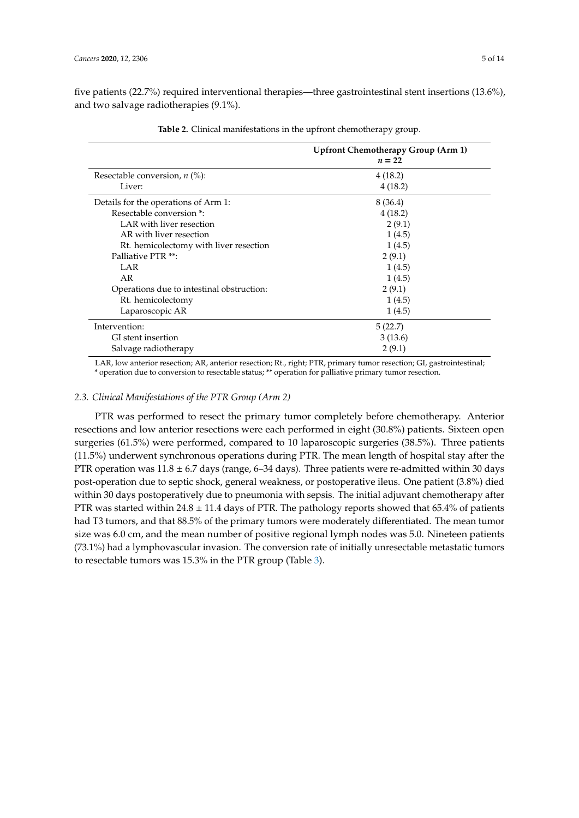five patients (22.7%) required interventional therapies—three gastrointestinal stent insertions (13.6%), and two salvage radiotherapies (9.1%).

<span id="page-4-0"></span>

|                                           | Upfront Chemotherapy Group (Arm 1)<br>$n=22$ |
|-------------------------------------------|----------------------------------------------|
| Resectable conversion, $n$ (%):           | 4(18.2)                                      |
| Liver:                                    | 4(18.2)                                      |
| Details for the operations of Arm 1:      | 8 (36.4)                                     |
| Resectable conversion *:                  | 4(18.2)                                      |
| LAR with liver resection                  | 2(9.1)                                       |
| AR with liver resection                   | 1(4.5)                                       |
| Rt. hemicolectomy with liver resection    | 1(4.5)                                       |
| Palliative PTR **:                        | 2(9.1)                                       |
| LAR                                       | 1(4.5)                                       |
| AR                                        | 1(4.5)                                       |
| Operations due to intestinal obstruction: | 2(9.1)                                       |
| Rt. hemicolectomy                         | 1(4.5)                                       |
| Laparoscopic AR                           | 1(4.5)                                       |
| Intervention:                             | 5(22.7)                                      |
| GI stent insertion                        | 3(13.6)                                      |
| Salvage radiotherapy                      | 2(9.1)                                       |

**Table 2.** Clinical manifestations in the upfront chemotherapy group.

LAR, low anterior resection; AR, anterior resection; Rt., right; PTR, primary tumor resection; GI, gastrointestinal; \* operation due to conversion to resectable status; \*\* operation for palliative primary tumor resection.

### *2.3. Clinical Manifestations of the PTR Group (Arm 2)*

PTR was performed to resect the primary tumor completely before chemotherapy. Anterior resections and low anterior resections were each performed in eight (30.8%) patients. Sixteen open surgeries (61.5%) were performed, compared to 10 laparoscopic surgeries (38.5%). Three patients (11.5%) underwent synchronous operations during PTR. The mean length of hospital stay after the PTR operation was  $11.8 \pm 6.7$  days (range, 6–34 days). Three patients were re-admitted within 30 days post-operation due to septic shock, general weakness, or postoperative ileus. One patient (3.8%) died within 30 days postoperatively due to pneumonia with sepsis. The initial adjuvant chemotherapy after PTR was started within  $24.8 \pm 11.4$  days of PTR. The pathology reports showed that 65.4% of patients had T3 tumors, and that 88.5% of the primary tumors were moderately differentiated. The mean tumor size was 6.0 cm, and the mean number of positive regional lymph nodes was 5.0. Nineteen patients (73.1%) had a lymphovascular invasion. The conversion rate of initially unresectable metastatic tumors to resectable tumors was 15.3% in the PTR group (Table [3\)](#page-5-0).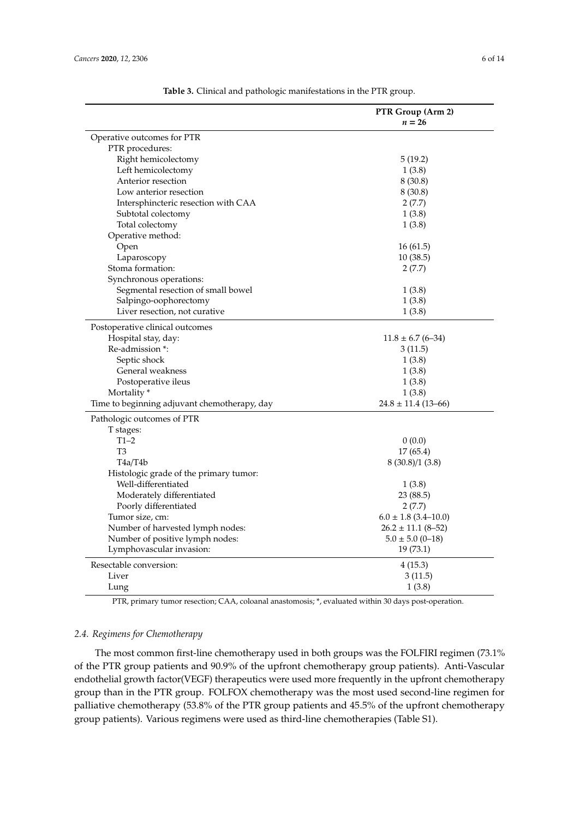<span id="page-5-0"></span>

|                                              | PTR Group (Arm 2)        |
|----------------------------------------------|--------------------------|
|                                              | $n=26$                   |
| Operative outcomes for PTR                   |                          |
| PTR procedures:                              |                          |
| Right hemicolectomy                          | 5(19.2)                  |
| Left hemicolectomy                           | 1(3.8)                   |
| Anterior resection                           | 8(30.8)                  |
| Low anterior resection                       | 8(30.8)                  |
| Intersphincteric resection with CAA          | 2(7.7)                   |
| Subtotal colectomy                           | 1(3.8)                   |
| Total colectomy                              | 1(3.8)                   |
| Operative method:                            |                          |
| Open                                         | 16(61.5)                 |
| Laparoscopy                                  | 10(38.5)                 |
| Stoma formation:                             | 2(7.7)                   |
| Synchronous operations:                      |                          |
| Segmental resection of small bowel           | 1(3.8)                   |
| Salpingo-oophorectomy                        | 1(3.8)                   |
| Liver resection, not curative                | 1(3.8)                   |
| Postoperative clinical outcomes              |                          |
| Hospital stay, day:                          | $11.8 \pm 6.7$ (6-34)    |
| Re-admission *:                              | 3(11.5)                  |
| Septic shock                                 | 1(3.8)                   |
| General weakness                             | 1(3.8)                   |
| Postoperative ileus                          | 1(3.8)                   |
| Mortality*                                   | 1(3.8)                   |
| Time to beginning adjuvant chemotherapy, day | $24.8 \pm 11.4$ (13–66)  |
| Pathologic outcomes of PTR                   |                          |
| T stages:                                    |                          |
| $T1-2$                                       | 0(0.0)                   |
| T <sub>3</sub>                               | 17(65.4)                 |
| T4a/T4b                                      | 8(30.8)/1(3.8)           |
| Histologic grade of the primary tumor:       |                          |
| Well-differentiated                          | 1(3.8)                   |
| Moderately differentiated                    | 23 (88.5)                |
| Poorly differentiated                        | 2(7.7)                   |
| Tumor size, cm:                              | $6.0 \pm 1.8$ (3.4-10.0) |
| Number of harvested lymph nodes:             | $26.2 \pm 11.1$ (8-52)   |
| Number of positive lymph nodes:              | $5.0 \pm 5.0$ (0-18)     |
| Lymphovascular invasion:                     | 19 (73.1)                |
| Resectable conversion:                       | 4(15.3)                  |
| Liver                                        | 3 (11.5)                 |
| Lung                                         | 1(3.8)                   |

**Table 3.** Clinical and pathologic manifestations in the PTR group.

PTR, primary tumor resection; CAA, coloanal anastomosis; \*, evaluated within 30 days post-operation.

# *2.4. Regimens for Chemotherapy*

The most common first-line chemotherapy used in both groups was the FOLFIRI regimen (73.1% of the PTR group patients and 90.9% of the upfront chemotherapy group patients). Anti-Vascular endothelial growth factor(VEGF) therapeutics were used more frequently in the upfront chemotherapy group than in the PTR group. FOLFOX chemotherapy was the most used second-line regimen for palliative chemotherapy (53.8% of the PTR group patients and 45.5% of the upfront chemotherapy group patients). Various regimens were used as third-line chemotherapies (Table S1).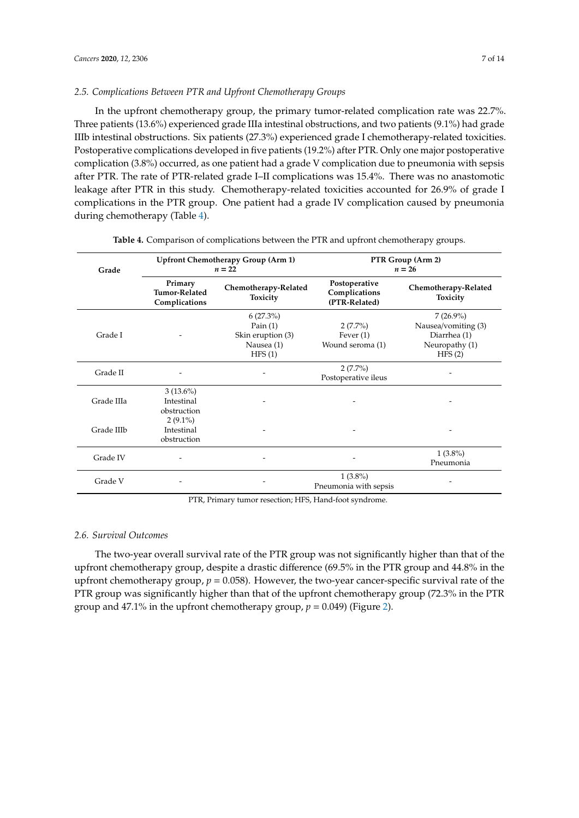In the upfront chemotherapy group, the primary tumor-related complication rate was 22.7%. Three patients (13.6%) experienced grade IIIa intestinal obstructions, and two patients (9.1%) had grade IIIb intestinal obstructions. Six patients (27.3%) experienced grade I chemotherapy-related toxicities. Postoperative complications developed in five patients (19.2%) after PTR. Only one major postoperative complication (3.8%) occurred, as one patient had a grade V complication due to pneumonia with sepsis after PTR. The rate of PTR-related grade I–II complications was 15.4%. There was no anastomotic leakage after PTR in this study. Chemotherapy-related toxicities accounted for 26.9% of grade I complications in the PTR group. One patient had a grade IV complication caused by pneumonia during chemotherapy (Table [4\)](#page-6-0).

<span id="page-6-0"></span>

| Grade      | Upfront Chemotherapy Group (Arm 1)<br>$n=22$           |                                                                        | PTR Group (Arm 2)<br>$n = 26$                   |                                                                                |
|------------|--------------------------------------------------------|------------------------------------------------------------------------|-------------------------------------------------|--------------------------------------------------------------------------------|
|            | Primary<br><b>Tumor-Related</b><br>Complications       | Chemotherapy-Related<br>Toxicity                                       | Postoperative<br>Complications<br>(PTR-Related) | Chemotherapy-Related<br><b>Toxicity</b>                                        |
| Grade I    |                                                        | $6(27.3\%)$<br>Pain $(1)$<br>Skin eruption (3)<br>Nausea (1)<br>HFS(1) | $2(7.7\%)$<br>Fever $(1)$<br>Wound seroma (1)   | $7(26.9\%)$<br>Nausea/vomiting (3)<br>Diarrhea (1)<br>Neuropathy (1)<br>HFS(2) |
| Grade II   |                                                        |                                                                        | $2(7.7\%)$<br>Postoperative ileus               |                                                                                |
| Grade IIIa | $3(13.6\%)$<br>Intestinal<br>obstruction<br>$2(9.1\%)$ |                                                                        |                                                 |                                                                                |
| Grade IIIb | Intestinal<br>obstruction                              |                                                                        |                                                 |                                                                                |
| Grade IV   | $\overline{\phantom{a}}$                               |                                                                        |                                                 | $1(3.8\%)$<br>Pneumonia                                                        |
| Grade V    |                                                        |                                                                        | $1(3.8\%)$<br>Pneumonia with sepsis             |                                                                                |

|  |  |  |  |  |  | <b>Table 4.</b> Comparison of complications between the PTR and upfront chemotherapy groups. |
|--|--|--|--|--|--|----------------------------------------------------------------------------------------------|
|--|--|--|--|--|--|----------------------------------------------------------------------------------------------|

PTR, Primary tumor resection; HFS, Hand-foot syndrome.

# *2.6. Survival Outcomes*

The two-year overall survival rate of the PTR group was not significantly higher than that of the upfront chemotherapy group, despite a drastic difference (69.5% in the PTR group and 44.8% in the upfront chemotherapy group, *p* = 0.058). However, the two-year cancer-specific survival rate of the PTR group was significantly higher than that of the upfront chemotherapy group (72.3% in the PTR group and 47.1% in the upfront chemotherapy group,  $p = 0.049$ ) (Figure [2\)](#page-7-0).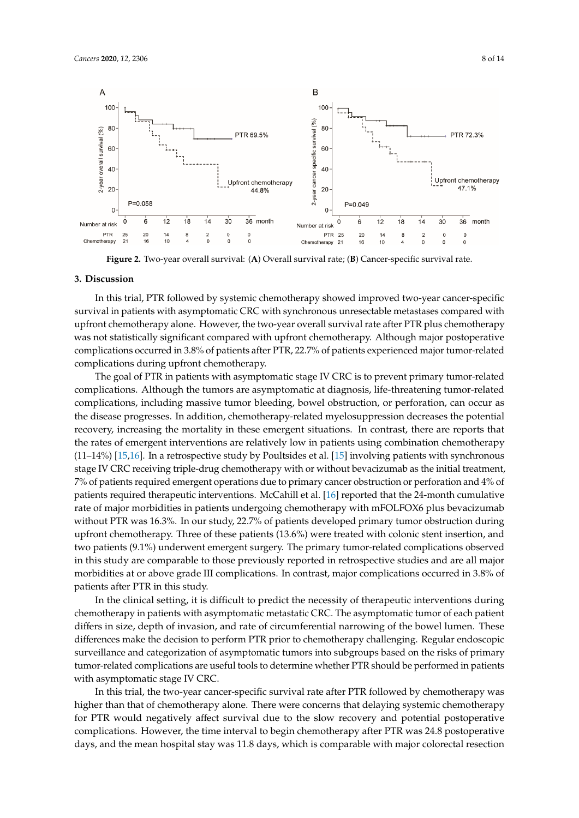<span id="page-7-0"></span>

Figure 2. Two-year overall survival: (A) Overall survival rate; (B) Cancer-specific survival rate.

#### **3. Discussion**

In this trial, PTR followed by systemic chemotherapy showed improved two-year cancer-specific survival in patients with asymptomatic CRC with synchronous unresectable metastases compared with upfront chemotherapy alone. However, the two-year overall survival rate after PTR plus chemotherapy was not statistically significant compared with upfront chemotherapy. Although major postoperative complications occurred in 3.8% of patients after PTR, 22.7% of patients experienced major tumor-related complications during upfront chemotherapy.

The goal of PTR in patients with asymptomatic stage IV CRC is to prevent primary tumor-related complications. Although the tumors are asymptomatic at diagnosis, life-threatening tumor-related complications, including massive tumor bleeding, bowel obstruction, or perforation, can occur as the disease progresses. In addition, chemotherapy-related myelosuppression decreases the potential recovery, increasing the mortality in these emergent situations. In contrast, there are reports that the rates of emergent interventions are relatively low in patients using combination chemotherapy (11–14%) [\[15,](#page-12-0)[16\]](#page-12-1). In a retrospective study by Poultsides et al. [\[15\]](#page-12-0) involving patients with synchronous stage IV CRC receiving triple-drug chemotherapy with or without bevacizumab as the initial treatment, 7% of patients required emergent operations due to primary cancer obstruction or perforation and 4% of patients required therapeutic interventions. McCahill et al. [\[16\]](#page-12-1) reported that the 24-month cumulative rate of major morbidities in patients undergoing chemotherapy with mFOLFOX6 plus bevacizumab without PTR was 16.3%. In our study, 22.7% of patients developed primary tumor obstruction during upfront chemotherapy. Three of these patients (13.6%) were treated with colonic stent insertion, and two patients (9.1%) underwent emergent surgery. The primary tumor-related complications observed in this study are comparable to those previously reported in retrospective studies and are all major morbidities at or above grade III complications. In contrast, major complications occurred in 3.8% of patients after PTR in this study.

In the clinical setting, it is difficult to predict the necessity of therapeutic interventions during chemotherapy in patients with asymptomatic metastatic CRC. The asymptomatic tumor of each patient differs in size, depth of invasion, and rate of circumferential narrowing of the bowel lumen. These differences make the decision to perform PTR prior to chemotherapy challenging. Regular endoscopic surveillance and categorization of asymptomatic tumors into subgroups based on the risks of primary tumor-related complications are useful tools to determine whether PTR should be performed in patients with asymptomatic stage IV CRC.

In this trial, the two-year cancer-specific survival rate after PTR followed by chemotherapy was higher than that of chemotherapy alone. There were concerns that delaying systemic chemotherapy for PTR would negatively affect survival due to the slow recovery and potential postoperative complications. However, the time interval to begin chemotherapy after PTR was 24.8 postoperative days, and the mean hospital stay was 11.8 days, which is comparable with major colorectal resection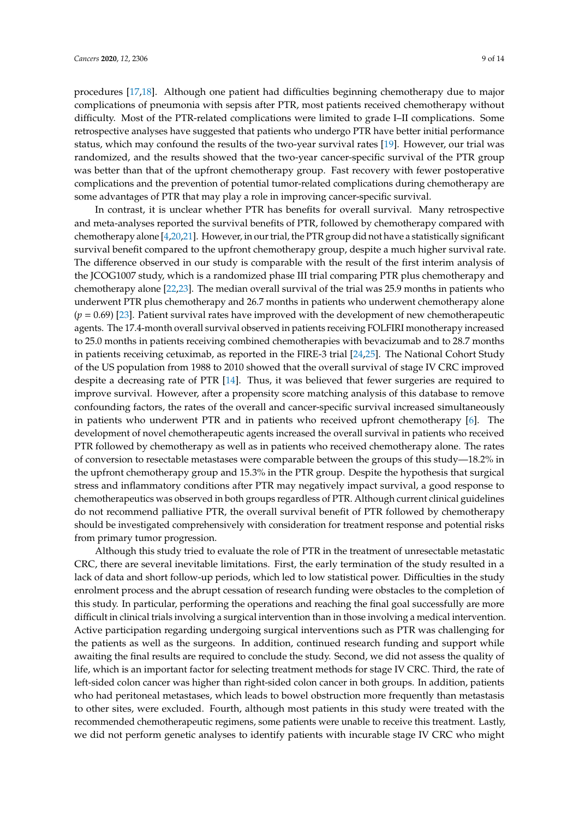procedures [\[17](#page-12-2)[,18\]](#page-12-3). Although one patient had difficulties beginning chemotherapy due to major complications of pneumonia with sepsis after PTR, most patients received chemotherapy without difficulty. Most of the PTR-related complications were limited to grade I–II complications. Some retrospective analyses have suggested that patients who undergo PTR have better initial performance status, which may confound the results of the two-year survival rates [\[19\]](#page-12-4). However, our trial was randomized, and the results showed that the two-year cancer-specific survival of the PTR group was better than that of the upfront chemotherapy group. Fast recovery with fewer postoperative complications and the prevention of potential tumor-related complications during chemotherapy are some advantages of PTR that may play a role in improving cancer-specific survival.

In contrast, it is unclear whether PTR has benefits for overall survival. Many retrospective and meta-analyses reported the survival benefits of PTR, followed by chemotherapy compared with chemotherapy alone [\[4,](#page-11-10)[20](#page-12-5)[,21\]](#page-12-6). However, in our trial, the PTR group did not have a statistically significant survival benefit compared to the upfront chemotherapy group, despite a much higher survival rate. The difference observed in our study is comparable with the result of the first interim analysis of the JCOG1007 study, which is a randomized phase III trial comparing PTR plus chemotherapy and chemotherapy alone [\[22,](#page-12-7)[23\]](#page-12-8). The median overall survival of the trial was 25.9 months in patients who underwent PTR plus chemotherapy and 26.7 months in patients who underwent chemotherapy alone  $(p = 0.69)$  [\[23\]](#page-12-8). Patient survival rates have improved with the development of new chemotherapeutic agents. The 17.4-month overall survival observed in patients receiving FOLFIRI monotherapy increased to 25.0 months in patients receiving combined chemotherapies with bevacizumab and to 28.7 months in patients receiving cetuximab, as reported in the FIRE-3 trial [\[24](#page-12-9)[,25\]](#page-12-10). The National Cohort Study of the US population from 1988 to 2010 showed that the overall survival of stage IV CRC improved despite a decreasing rate of PTR [\[14\]](#page-11-9). Thus, it was believed that fewer surgeries are required to improve survival. However, after a propensity score matching analysis of this database to remove confounding factors, the rates of the overall and cancer-specific survival increased simultaneously in patients who underwent PTR and in patients who received upfront chemotherapy [\[6\]](#page-11-4). The development of novel chemotherapeutic agents increased the overall survival in patients who received PTR followed by chemotherapy as well as in patients who received chemotherapy alone. The rates of conversion to resectable metastases were comparable between the groups of this study—18.2% in the upfront chemotherapy group and 15.3% in the PTR group. Despite the hypothesis that surgical stress and inflammatory conditions after PTR may negatively impact survival, a good response to chemotherapeutics was observed in both groups regardless of PTR. Although current clinical guidelines do not recommend palliative PTR, the overall survival benefit of PTR followed by chemotherapy should be investigated comprehensively with consideration for treatment response and potential risks from primary tumor progression.

Although this study tried to evaluate the role of PTR in the treatment of unresectable metastatic CRC, there are several inevitable limitations. First, the early termination of the study resulted in a lack of data and short follow-up periods, which led to low statistical power. Difficulties in the study enrolment process and the abrupt cessation of research funding were obstacles to the completion of this study. In particular, performing the operations and reaching the final goal successfully are more difficult in clinical trials involving a surgical intervention than in those involving a medical intervention. Active participation regarding undergoing surgical interventions such as PTR was challenging for the patients as well as the surgeons. In addition, continued research funding and support while awaiting the final results are required to conclude the study. Second, we did not assess the quality of life, which is an important factor for selecting treatment methods for stage IV CRC. Third, the rate of left-sided colon cancer was higher than right-sided colon cancer in both groups. In addition, patients who had peritoneal metastases, which leads to bowel obstruction more frequently than metastasis to other sites, were excluded. Fourth, although most patients in this study were treated with the recommended chemotherapeutic regimens, some patients were unable to receive this treatment. Lastly, we did not perform genetic analyses to identify patients with incurable stage IV CRC who might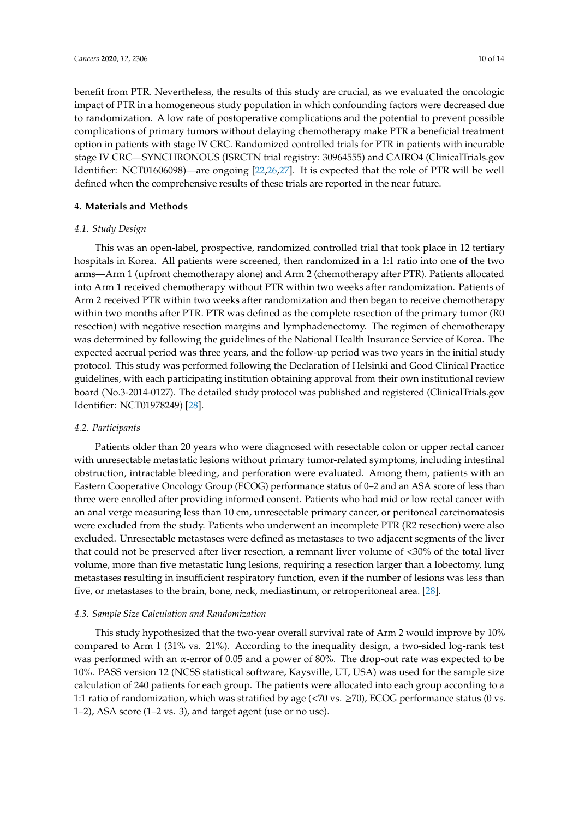benefit from PTR. Nevertheless, the results of this study are crucial, as we evaluated the oncologic impact of PTR in a homogeneous study population in which confounding factors were decreased due to randomization. A low rate of postoperative complications and the potential to prevent possible complications of primary tumors without delaying chemotherapy make PTR a beneficial treatment option in patients with stage IV CRC. Randomized controlled trials for PTR in patients with incurable stage IV CRC—SYNCHRONOUS (ISRCTN trial registry: 30964555) and CAIRO4 (ClinicalTrials.gov Identifier: NCT01606098)—are ongoing [\[22](#page-12-7)[,26](#page-12-11)[,27\]](#page-12-12). It is expected that the role of PTR will be well defined when the comprehensive results of these trials are reported in the near future.

## **4. Materials and Methods**

### *4.1. Study Design*

This was an open-label, prospective, randomized controlled trial that took place in 12 tertiary hospitals in Korea. All patients were screened, then randomized in a 1:1 ratio into one of the two arms—Arm 1 (upfront chemotherapy alone) and Arm 2 (chemotherapy after PTR). Patients allocated into Arm 1 received chemotherapy without PTR within two weeks after randomization. Patients of Arm 2 received PTR within two weeks after randomization and then began to receive chemotherapy within two months after PTR. PTR was defined as the complete resection of the primary tumor (R0 resection) with negative resection margins and lymphadenectomy. The regimen of chemotherapy was determined by following the guidelines of the National Health Insurance Service of Korea. The expected accrual period was three years, and the follow-up period was two years in the initial study protocol. This study was performed following the Declaration of Helsinki and Good Clinical Practice guidelines, with each participating institution obtaining approval from their own institutional review board (No.3-2014-0127). The detailed study protocol was published and registered (ClinicalTrials.gov Identifier: NCT01978249) [\[28\]](#page-12-13).

#### *4.2. Participants*

Patients older than 20 years who were diagnosed with resectable colon or upper rectal cancer with unresectable metastatic lesions without primary tumor-related symptoms, including intestinal obstruction, intractable bleeding, and perforation were evaluated. Among them, patients with an Eastern Cooperative Oncology Group (ECOG) performance status of 0–2 and an ASA score of less than three were enrolled after providing informed consent. Patients who had mid or low rectal cancer with an anal verge measuring less than 10 cm, unresectable primary cancer, or peritoneal carcinomatosis were excluded from the study. Patients who underwent an incomplete PTR (R2 resection) were also excluded. Unresectable metastases were defined as metastases to two adjacent segments of the liver that could not be preserved after liver resection, a remnant liver volume of <30% of the total liver volume, more than five metastatic lung lesions, requiring a resection larger than a lobectomy, lung metastases resulting in insufficient respiratory function, even if the number of lesions was less than five, or metastases to the brain, bone, neck, mediastinum, or retroperitoneal area. [\[28\]](#page-12-13).

#### *4.3. Sample Size Calculation and Randomization*

This study hypothesized that the two-year overall survival rate of Arm 2 would improve by 10% compared to Arm 1 (31% vs. 21%). According to the inequality design, a two-sided log-rank test was performed with an α-error of 0.05 and a power of 80%. The drop-out rate was expected to be 10%. PASS version 12 (NCSS statistical software, Kaysville, UT, USA) was used for the sample size calculation of 240 patients for each group. The patients were allocated into each group according to a 1:1 ratio of randomization, which was stratified by age (<70 vs. ≥70), ECOG performance status (0 vs. 1–2), ASA score (1–2 vs. 3), and target agent (use or no use).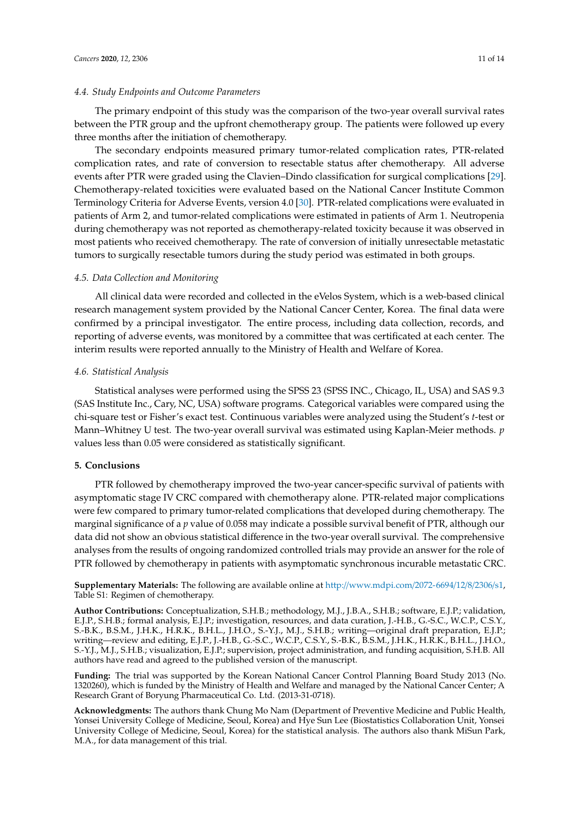## *4.4. Study Endpoints and Outcome Parameters*

The primary endpoint of this study was the comparison of the two-year overall survival rates between the PTR group and the upfront chemotherapy group. The patients were followed up every three months after the initiation of chemotherapy.

The secondary endpoints measured primary tumor-related complication rates, PTR-related complication rates, and rate of conversion to resectable status after chemotherapy. All adverse events after PTR were graded using the Clavien–Dindo classification for surgical complications [\[29\]](#page-13-0). Chemotherapy-related toxicities were evaluated based on the National Cancer Institute Common Terminology Criteria for Adverse Events, version 4.0 [\[30\]](#page-13-1). PTR-related complications were evaluated in patients of Arm 2, and tumor-related complications were estimated in patients of Arm 1. Neutropenia during chemotherapy was not reported as chemotherapy-related toxicity because it was observed in most patients who received chemotherapy. The rate of conversion of initially unresectable metastatic tumors to surgically resectable tumors during the study period was estimated in both groups.

#### *4.5. Data Collection and Monitoring*

All clinical data were recorded and collected in the eVelos System, which is a web-based clinical research management system provided by the National Cancer Center, Korea. The final data were confirmed by a principal investigator. The entire process, including data collection, records, and reporting of adverse events, was monitored by a committee that was certificated at each center. The interim results were reported annually to the Ministry of Health and Welfare of Korea.

#### *4.6. Statistical Analysis*

Statistical analyses were performed using the SPSS 23 (SPSS INC., Chicago, IL, USA) and SAS 9.3 (SAS Institute Inc., Cary, NC, USA) software programs. Categorical variables were compared using the chi-square test or Fisher's exact test. Continuous variables were analyzed using the Student's *t*-test or Mann–Whitney U test. The two-year overall survival was estimated using Kaplan-Meier methods. *p* values less than 0.05 were considered as statistically significant.

## **5. Conclusions**

PTR followed by chemotherapy improved the two-year cancer-specific survival of patients with asymptomatic stage IV CRC compared with chemotherapy alone. PTR-related major complications were few compared to primary tumor-related complications that developed during chemotherapy. The marginal significance of a *p* value of 0.058 may indicate a possible survival benefit of PTR, although our data did not show an obvious statistical difference in the two-year overall survival. The comprehensive analyses from the results of ongoing randomized controlled trials may provide an answer for the role of PTR followed by chemotherapy in patients with asymptomatic synchronous incurable metastatic CRC.

**Supplementary Materials:** The following are available online at http://[www.mdpi.com](http://www.mdpi.com/2072-6694/12/8/2306/s1)/2072-6694/12/8/2306/s1, Table S1: Regimen of chemotherapy.

**Author Contributions:** Conceptualization, S.H.B.; methodology, M.J., J.B.A., S.H.B.; software, E.J.P.; validation, E.J.P., S.H.B.; formal analysis, E.J.P.; investigation, resources, and data curation, J.-H.B., G.-S.C., W.C.P., C.S.Y., S.-B.K., B.S.M., J.H.K., H.R.K., B.H.L., J.H.O., S.-Y.J., M.J., S.H.B.; writing—original draft preparation, E.J.P.; writing—review and editing, E.J.P., J.-H.B., G.-S.C., W.C.P., C.S.Y., S.-B.K., B.S.M., J.H.K., H.R.K., B.H.L., J.H.O., S.-Y.J., M.J., S.H.B.; visualization, E.J.P.; supervision, project administration, and funding acquisition, S.H.B. All authors have read and agreed to the published version of the manuscript.

**Funding:** The trial was supported by the Korean National Cancer Control Planning Board Study 2013 (No. 1320260), which is funded by the Ministry of Health and Welfare and managed by the National Cancer Center; A Research Grant of Boryung Pharmaceutical Co. Ltd. (2013-31-0718).

**Acknowledgments:** The authors thank Chung Mo Nam (Department of Preventive Medicine and Public Health, Yonsei University College of Medicine, Seoul, Korea) and Hye Sun Lee (Biostatistics Collaboration Unit, Yonsei University College of Medicine, Seoul, Korea) for the statistical analysis. The authors also thank MiSun Park, M.A., for data management of this trial.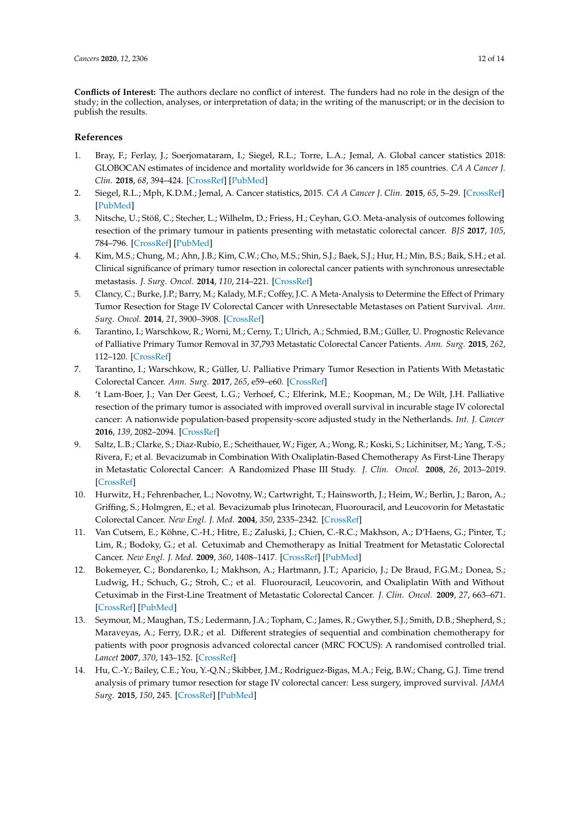**Conflicts of Interest:** The authors declare no conflict of interest. The funders had no role in the design of the study; in the collection, analyses, or interpretation of data; in the writing of the manuscript; or in the decision to publish the results.

# **References**

- <span id="page-11-0"></span>1. Bray, F.; Ferlay, J.; Soerjomataram, I.; Siegel, R.L.; Torre, L.A.; Jemal, A. Global cancer statistics 2018: GLOBOCAN estimates of incidence and mortality worldwide for 36 cancers in 185 countries. *CA A Cancer J. Clin.* **2018**, *68*, 394–424. [\[CrossRef\]](http://dx.doi.org/10.3322/caac.21492) [\[PubMed\]](http://www.ncbi.nlm.nih.gov/pubmed/30207593)
- <span id="page-11-1"></span>2. Siegel, R.L.; Mph, K.D.M.; Jemal, A. Cancer statistics, 2015. *CA A Cancer J. Clin.* **2015**, *65*, 5–29. [\[CrossRef\]](http://dx.doi.org/10.3322/caac.21254) [\[PubMed\]](http://www.ncbi.nlm.nih.gov/pubmed/25559415)
- <span id="page-11-2"></span>3. Nitsche, U.; Stöß, C.; Stecher, L.; Wilhelm, D.; Friess, H.; Ceyhan, G.O. Meta-analysis of outcomes following resection of the primary tumour in patients presenting with metastatic colorectal cancer. *BJS* **2017**, *105*, 784–796. [\[CrossRef\]](http://dx.doi.org/10.1002/bjs.10682) [\[PubMed\]](http://www.ncbi.nlm.nih.gov/pubmed/29088493)
- <span id="page-11-10"></span>4. Kim, M.S.; Chung, M.; Ahn, J.B.; Kim, C.W.; Cho, M.S.; Shin, S.J.; Baek, S.J.; Hur, H.; Min, B.S.; Baik, S.H.; et al. Clinical significance of primary tumor resection in colorectal cancer patients with synchronous unresectable metastasis. *J. Surg. Oncol.* **2014**, *110*, 214–221. [\[CrossRef\]](http://dx.doi.org/10.1002/jso.23607)
- <span id="page-11-3"></span>5. Clancy, C.; Burke, J.P.; Barry, M.; Kalady, M.F.; Coffey, J.C. A Meta-Analysis to Determine the Effect of Primary Tumor Resection for Stage IV Colorectal Cancer with Unresectable Metastases on Patient Survival. *Ann. Surg. Oncol.* **2014**, *21*, 3900–3908. [\[CrossRef\]](http://dx.doi.org/10.1245/s10434-014-3805-4)
- <span id="page-11-4"></span>6. Tarantino, I.; Warschkow, R.; Worni, M.; Cerny, T.; Ulrich, A.; Schmied, B.M.; Güller, U. Prognostic Relevance of Palliative Primary Tumor Removal in 37,793 Metastatic Colorectal Cancer Patients. *Ann. Surg.* **2015**, *262*, 112–120. [\[CrossRef\]](http://dx.doi.org/10.1097/SLA.0000000000000860)
- <span id="page-11-5"></span>7. Tarantino, I.; Warschkow, R.; Güller, U. Palliative Primary Tumor Resection in Patients With Metastatic Colorectal Cancer. *Ann. Surg.* **2017**, *265*, e59–e60. [\[CrossRef\]](http://dx.doi.org/10.1097/SLA.0000000000001326)
- <span id="page-11-6"></span>8. 't Lam-Boer, J.; Van Der Geest, L.G.; Verhoef, C.; Elferink, M.E.; Koopman, M.; De Wilt, J.H. Palliative resection of the primary tumor is associated with improved overall survival in incurable stage IV colorectal cancer: A nationwide population-based propensity-score adjusted study in the Netherlands. *Int. J. Cancer* **2016**, *139*, 2082–2094. [\[CrossRef\]](http://dx.doi.org/10.1002/ijc.30240)
- <span id="page-11-7"></span>9. Saltz, L.B.; Clarke, S.; Diaz-Rubio, E.; Scheithauer, W.; Figer, A.; Wong, R.; Koski, S.; Lichinitser, M.; Yang, T.-S.; Rivera, F.; et al. Bevacizumab in Combination With Oxaliplatin-Based Chemotherapy As First-Line Therapy in Metastatic Colorectal Cancer: A Randomized Phase III Study. *J. Clin. Oncol.* **2008**, *26*, 2013–2019. [\[CrossRef\]](http://dx.doi.org/10.1200/JCO.2007.14.9930)
- 10. Hurwitz, H.; Fehrenbacher, L.; Novotny, W.; Cartwright, T.; Hainsworth, J.; Heim, W.; Berlin, J.; Baron, A.; Griffing, S.; Holmgren, E.; et al. Bevacizumab plus Irinotecan, Fluorouracil, and Leucovorin for Metastatic Colorectal Cancer. *New Engl. J. Med.* **2004**, *350*, 2335–2342. [\[CrossRef\]](http://dx.doi.org/10.1056/NEJMoa032691)
- 11. Van Cutsem, E.; Köhne, C.-H.; Hitre, E.; Zaluski, J.; Chien, C.-R.C.; Makhson, A.; D'Haens, G.; Pinter, T.; Lim, R.; Bodoky, G.; et al. Cetuximab and Chemotherapy as Initial Treatment for Metastatic Colorectal Cancer. *New Engl. J. Med.* **2009**, *360*, 1408–1417. [\[CrossRef\]](http://dx.doi.org/10.1056/NEJMoa0805019) [\[PubMed\]](http://www.ncbi.nlm.nih.gov/pubmed/19339720)
- 12. Bokemeyer, C.; Bondarenko, I.; Makhson, A.; Hartmann, J.T.; Aparicio, J.; De Braud, F.G.M.; Donea, S.; Ludwig, H.; Schuch, G.; Stroh, C.; et al. Fluorouracil, Leucovorin, and Oxaliplatin With and Without Cetuximab in the First-Line Treatment of Metastatic Colorectal Cancer. *J. Clin. Oncol.* **2009**, *27*, 663–671. [\[CrossRef\]](http://dx.doi.org/10.1200/JCO.2008.20.8397) [\[PubMed\]](http://www.ncbi.nlm.nih.gov/pubmed/19114683)
- <span id="page-11-8"></span>13. Seymour, M.; Maughan, T.S.; Ledermann, J.A.; Topham, C.; James, R.; Gwyther, S.J.; Smith, D.B.; Shepherd, S.; Maraveyas, A.; Ferry, D.R.; et al. Different strategies of sequential and combination chemotherapy for patients with poor prognosis advanced colorectal cancer (MRC FOCUS): A randomised controlled trial. *Lancet* **2007**, *370*, 143–152. [\[CrossRef\]](http://dx.doi.org/10.1016/S0140-6736(07)61087-3)
- <span id="page-11-9"></span>14. Hu, C.-Y.; Bailey, C.E.; You, Y.-Q.N.; Skibber, J.M.; Rodriguez-Bigas, M.A.; Feig, B.W.; Chang, G.J. Time trend analysis of primary tumor resection for stage IV colorectal cancer: Less surgery, improved survival. *JAMA Surg.* **2015**, *150*, 245. [\[CrossRef\]](http://dx.doi.org/10.1001/jamasurg.2014.2253) [\[PubMed\]](http://www.ncbi.nlm.nih.gov/pubmed/25588105)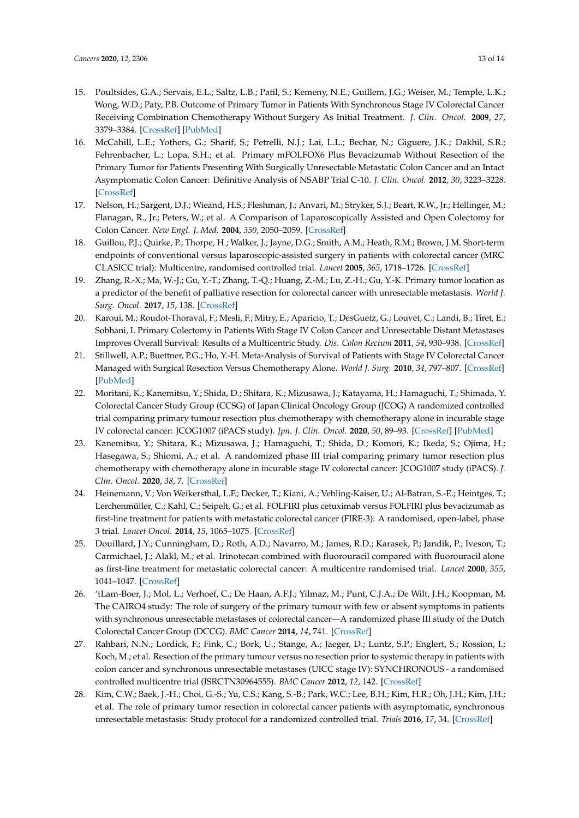- <span id="page-12-0"></span>15. Poultsides, G.A.; Servais, E.L.; Saltz, L.B.; Patil, S.; Kemeny, N.E.; Guillem, J.G.; Weiser, M.; Temple, L.K.; Wong, W.D.; Paty, P.B. Outcome of Primary Tumor in Patients With Synchronous Stage IV Colorectal Cancer Receiving Combination Chemotherapy Without Surgery As Initial Treatment. *J. Clin. Oncol.* **2009**, *27*, 3379–3384. [\[CrossRef\]](http://dx.doi.org/10.1200/JCO.2008.20.9817) [\[PubMed\]](http://www.ncbi.nlm.nih.gov/pubmed/19487380)
- <span id="page-12-1"></span>16. McCahill, L.E.; Yothers, G.; Sharif, S.; Petrelli, N.J.; Lai, L.L.; Bechar, N.; Giguere, J.K.; Dakhil, S.R.; Fehrenbacher, L.; Lopa, S.H.; et al. Primary mFOLFOX6 Plus Bevacizumab Without Resection of the Primary Tumor for Patients Presenting With Surgically Unresectable Metastatic Colon Cancer and an Intact Asymptomatic Colon Cancer: Definitive Analysis of NSABP Trial C-10. *J. Clin. Oncol.* **2012**, *30*, 3223–3228. [\[CrossRef\]](http://dx.doi.org/10.1200/JCO.2012.42.4044)
- <span id="page-12-2"></span>17. Nelson, H.; Sargent, D.J.; Wieand, H.S.; Fleshman, J.; Anvari, M.; Stryker, S.J.; Beart, R.W., Jr.; Hellinger, M.; Flanagan, R., Jr.; Peters, W.; et al. A Comparison of Laparoscopically Assisted and Open Colectomy for Colon Cancer. *New Engl. J. Med.* **2004**, *350*, 2050–2059. [\[CrossRef\]](http://dx.doi.org/10.1056/nejmoa032651)
- <span id="page-12-3"></span>18. Guillou, P.J.; Quirke, P.; Thorpe, H.; Walker, J.; Jayne, D.G.; Smith, A.M.; Heath, R.M.; Brown, J.M. Short-term endpoints of conventional versus laparoscopic-assisted surgery in patients with colorectal cancer (MRC CLASICC trial): Multicentre, randomised controlled trial. *Lancet* **2005**, *365*, 1718–1726. [\[CrossRef\]](http://dx.doi.org/10.1016/S0140-6736(05)66545-2)
- <span id="page-12-4"></span>19. Zhang, R.-X.; Ma, W.-J.; Gu, Y.-T.; Zhang, T.-Q.; Huang, Z.-M.; Lu, Z.-H.; Gu, Y.-K. Primary tumor location as a predictor of the benefit of palliative resection for colorectal cancer with unresectable metastasis. *World J. Surg. Oncol.* **2017**, *15*, 138. [\[CrossRef\]](http://dx.doi.org/10.1186/s12957-017-1198-0)
- <span id="page-12-5"></span>20. Karoui, M.; Roudot-Thoraval, F.; Mesli, F.; Mitry, E.; Aparicio, T.; DesGuetz, G.; Louvet, C.; Landi, B.; Tiret, E.; Sobhani, I. Primary Colectomy in Patients With Stage IV Colon Cancer and Unresectable Distant Metastases Improves Overall Survival: Results of a Multicentric Study. *Dis. Colon Rectum* **2011**, *54*, 930–938. [\[CrossRef\]](http://dx.doi.org/10.1097/DCR.0b013e31821cced0)
- <span id="page-12-6"></span>21. Stillwell, A.P.; Buettner, P.G.; Ho, Y.-H. Meta-Analysis of Survival of Patients with Stage IV Colorectal Cancer Managed with Surgical Resection Versus Chemotherapy Alone. *World J. Surg.* **2010**, *34*, 797–807. [\[CrossRef\]](http://dx.doi.org/10.1007/s00268-009-0366-y) [\[PubMed\]](http://www.ncbi.nlm.nih.gov/pubmed/20054541)
- <span id="page-12-7"></span>22. Moritani, K.; Kanemitsu, Y.; Shida, D.; Shitara, K.; Mizusawa, J.; Katayama, H.; Hamaguchi, T.; Shimada, Y. Colorectal Cancer Study Group (CCSG) of Japan Clinical Oncology Group (JCOG) A randomized controlled trial comparing primary tumour resection plus chemotherapy with chemotherapy alone in incurable stage IV colorectal cancer: JCOG1007 (iPACS study). *Jpn. J. Clin. Oncol.* **2020**, *50*, 89–93. [\[CrossRef\]](http://dx.doi.org/10.1093/jjco/hyz173) [\[PubMed\]](http://www.ncbi.nlm.nih.gov/pubmed/31829404)
- <span id="page-12-8"></span>23. Kanemitsu, Y.; Shitara, K.; Mizusawa, J.; Hamaguchi, T.; Shida, D.; Komori, K.; Ikeda, S.; Ojima, H.; Hasegawa, S.; Shiomi, A.; et al. A randomized phase III trial comparing primary tumor resection plus chemotherapy with chemotherapy alone in incurable stage IV colorectal cancer: JCOG1007 study (iPACS). *J. Clin. Oncol.* **2020**, *38*, 7. [\[CrossRef\]](http://dx.doi.org/10.1200/JCO.2020.38.4_suppl.7)
- <span id="page-12-9"></span>24. Heinemann, V.; Von Weikersthal, L.F.; Decker, T.; Kiani, A.; Vehling-Kaiser, U.; Al-Batran, S.-E.; Heintges, T.; Lerchenmüller, C.; Kahl, C.; Seipelt, G.; et al. FOLFIRI plus cetuximab versus FOLFIRI plus bevacizumab as first-line treatment for patients with metastatic colorectal cancer (FIRE-3): A randomised, open-label, phase 3 trial. *Lancet Oncol.* **2014**, *15*, 1065–1075. [\[CrossRef\]](http://dx.doi.org/10.1016/S1470-2045(14)70330-4)
- <span id="page-12-10"></span>25. Douillard, J.Y.; Cunningham, D.; Roth, A.D.; Navarro, M.; James, R.D.; Karasek, P.; Jandik, P.; Iveson, T.; Carmichael, J.; Alakl, M.; et al. Irinotecan combined with fluorouracil compared with fluorouracil alone as first-line treatment for metastatic colorectal cancer: A multicentre randomised trial. *Lancet* **2000**, *355*, 1041–1047. [\[CrossRef\]](http://dx.doi.org/10.1016/S0140-6736(00)02034-1)
- <span id="page-12-11"></span>26. 'tLam-Boer, J.; Mol, L.; Verhoef, C.; De Haan, A.F.J.; Yilmaz, M.; Punt, C.J.A.; De Wilt, J.H.; Koopman, M. The CAIRO4 study: The role of surgery of the primary tumour with few or absent symptoms in patients with synchronous unresectable metastases of colorectal cancer—A randomized phase III study of the Dutch Colorectal Cancer Group (DCCG). *BMC Cancer* **2014**, *14*, 741. [\[CrossRef\]](http://dx.doi.org/10.1186/1471-2407-14-741)
- <span id="page-12-12"></span>27. Rahbari, N.N.; Lordick, F.; Fink, C.; Bork, U.; Stange, A.; Jaeger, D.; Luntz, S.P.; Englert, S.; Rossion, I.; Koch, M.; et al. Resection of the primary tumour versus no resection prior to systemic therapy in patients with colon cancer and synchronous unresectable metastases (UICC stage IV): SYNCHRONOUS - a randomised controlled multicentre trial (ISRCTN30964555). *BMC Cancer* **2012**, *12*, 142. [\[CrossRef\]](http://dx.doi.org/10.1186/1471-2407-12-142)
- <span id="page-12-13"></span>28. Kim, C.W.; Baek, J.-H.; Choi, G.-S.; Yu, C.S.; Kang, S.-B.; Park, W.C.; Lee, B.H.; Kim, H.R.; Oh, J.H.; Kim, J.H.; et al. The role of primary tumor resection in colorectal cancer patients with asymptomatic, synchronous unresectable metastasis: Study protocol for a randomized controlled trial. *Trials* **2016**, *17*, 34. [\[CrossRef\]](http://dx.doi.org/10.1186/s13063-016-1164-0)